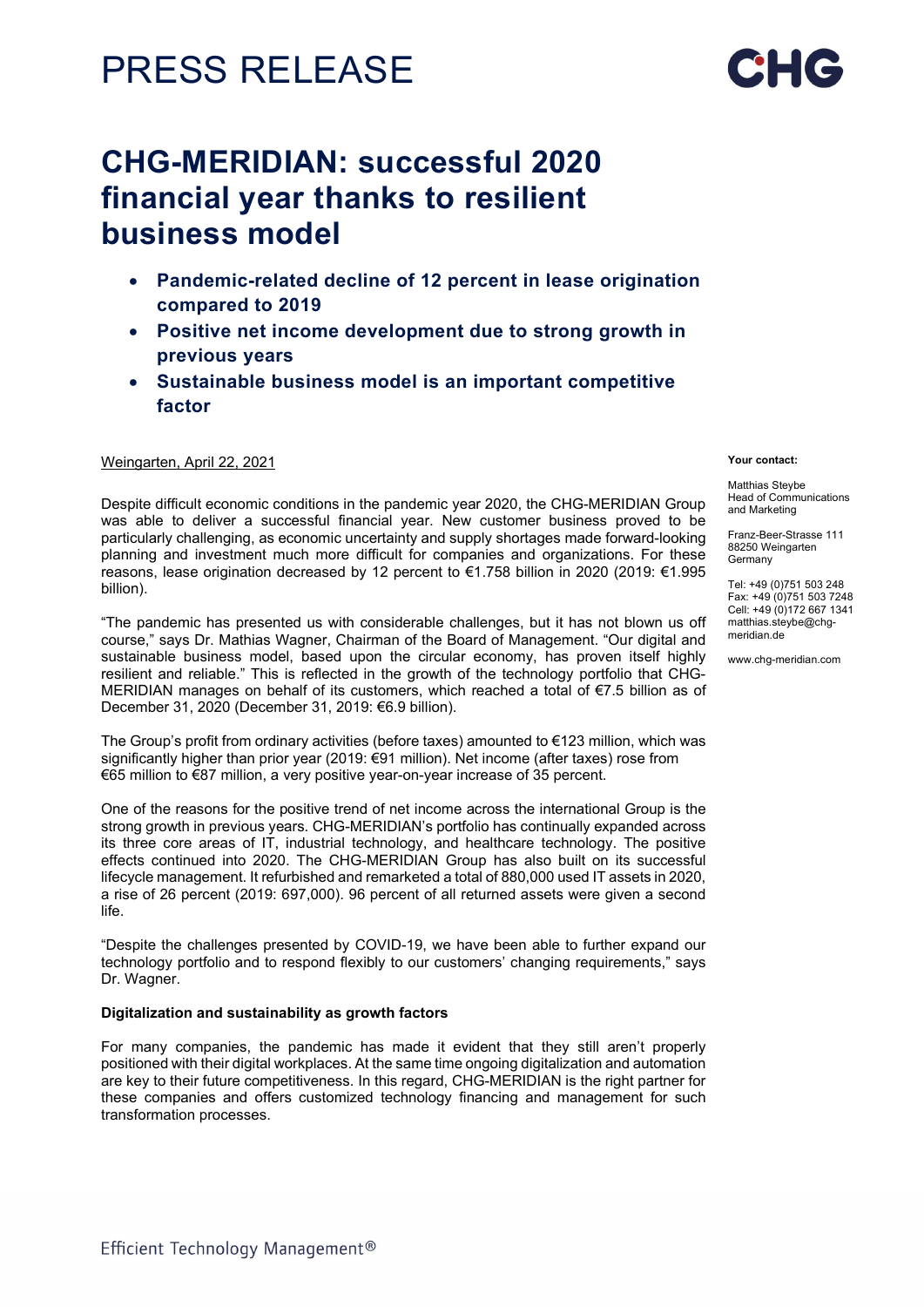# PRESS RELEASE

# CHG-MERIDIAN: successful 2020 financial year thanks to resilient business model

- Pandemic-related decline of 12 percent in lease origination compared to 2019
- Positive net income development due to strong growth in previous years
- Sustainable business model is an important competitive factor

## Weingarten, April 22, 2021

Despite difficult economic conditions in the pandemic year 2020, the CHG-MERIDIAN Group was able to deliver a successful financial year. New customer business proved to be particularly challenging, as economic uncertainty and supply shortages made forward-looking planning and investment much more difficult for companies and organizations. For these reasons, lease origination decreased by 12 percent to €1.758 billion in 2020 (2019: €1.995 billion).

"The pandemic has presented us with considerable challenges, but it has not blown us off course," says Dr. Mathias Wagner, Chairman of the Board of Management. "Our digital and sustainable business model, based upon the circular economy, has proven itself highly resilient and reliable." This is reflected in the growth of the technology portfolio that CHG-MERIDIAN manages on behalf of its customers, which reached a total of €7.5 billion as of December 31, 2020 (December 31, 2019: €6.9 billion).

The Group's profit from ordinary activities (before taxes) amounted to €123 million, which was significantly higher than prior year (2019: €91 million). Net income (after taxes) rose from €65 million to €87 million, a very positive year-on-year increase of 35 percent.

One of the reasons for the positive trend of net income across the international Group is the strong growth in previous years. CHG-MERIDIAN's portfolio has continually expanded across its three core areas of IT, industrial technology, and healthcare technology. The positive effects continued into 2020. The CHG-MERIDIAN Group has also built on its successful lifecycle management. It refurbished and remarketed a total of 880,000 used IT assets in 2020, a rise of 26 percent (2019: 697,000). 96 percent of all returned assets were given a second life.

"Despite the challenges presented by COVID-19, we have been able to further expand our technology portfolio and to respond flexibly to our customers' changing requirements," says Dr. Wagner.

### Digitalization and sustainability as growth factors

For many companies, the pandemic has made it evident that they still aren't properly positioned with their digital workplaces. At the same time ongoing digitalization and automation are key to their future competitiveness. In this regard, CHG-MERIDIAN is the right partner for these companies and offers customized technology financing and management for such transformation processes.

#### Your contact:

Matthias Steybe Head of Communications and Marketing

Franz-Beer-Strasse 111 88250 Weingarten Germany

Tel: +49 (0)751 503 248 Fax: +49 (0)751 503 7248 Cell: +49 (0)172 667 1341 matthias.steybe@chgmeridian.de

www.chg-meridian.com